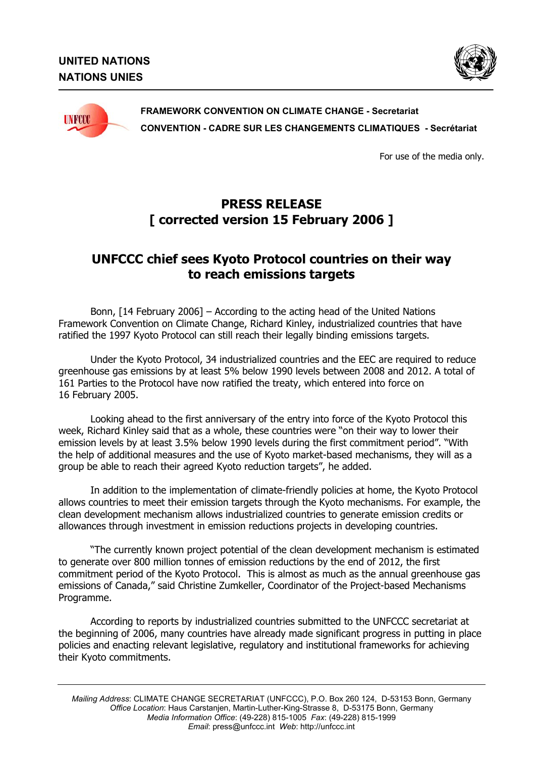



## **FRAMEWORK CONVENTION ON CLIMATE CHANGE - Secretariat CONVENTION - CADRE SUR LES CHANGEMENTS CLIMATIQUES - Secrétariat**

For use of the media only.

## **PRESS RELEASE [ corrected version 15 February 2006 ]**

## **UNFCCC chief sees Kyoto Protocol countries on their way to reach emissions targets**

Bonn, [14 February 2006] – According to the acting head of the United Nations Framework Convention on Climate Change, Richard Kinley, industrialized countries that have ratified the 1997 Kyoto Protocol can still reach their legally binding emissions targets.

Under the Kyoto Protocol, 34 industrialized countries and the EEC are required to reduce greenhouse gas emissions by at least 5% below 1990 levels between 2008 and 2012. A total of 161 Parties to the Protocol have now ratified the treaty, which entered into force on 16 February 2005.

Looking ahead to the first anniversary of the entry into force of the Kyoto Protocol this week, Richard Kinley said that as a whole, these countries were "on their way to lower their emission levels by at least 3.5% below 1990 levels during the first commitment period". "With the help of additional measures and the use of Kyoto market-based mechanisms, they will as a group be able to reach their agreed Kyoto reduction targets", he added.

In addition to the implementation of climate-friendly policies at home, the Kyoto Protocol allows countries to meet their emission targets through the Kyoto mechanisms. For example, the clean development mechanism allows industrialized countries to generate emission credits or allowances through investment in emission reductions projects in developing countries.

"The currently known project potential of the clean development mechanism is estimated to generate over 800 million tonnes of emission reductions by the end of 2012, the first commitment period of the Kyoto Protocol. This is almost as much as the annual greenhouse gas emissions of Canada," said Christine Zumkeller, Coordinator of the Project-based Mechanisms Programme.

According to reports by industrialized countries submitted to the UNFCCC secretariat at the beginning of 2006, many countries have already made significant progress in putting in place policies and enacting relevant legislative, regulatory and institutional frameworks for achieving their Kyoto commitments.